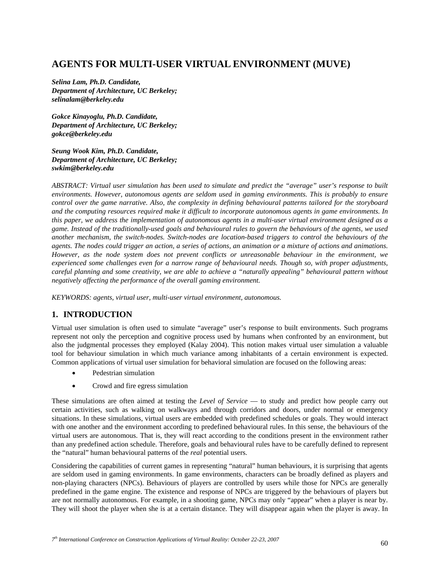# **AGENTS FOR MULTI-USER VIRTUAL ENVIRONMENT (MUVE)**

*Selina Lam, Ph.D. Candidate, Department of Architecture, UC Berkeley; selinalam@berkeley.edu* 

*Gokce Kinayoglu, Ph.D. Candidate, Department of Architecture, UC Berkeley; gokce@berkeley.edu* 

*Seung Wook Kim, Ph.D. Candidate, Department of Architecture, UC Berkeley; swkim@berkeley.edu* 

*ABSTRACT: Virtual user simulation has been used to simulate and predict the "average" user's response to built environments. However, autonomous agents are seldom used in gaming environments. This is probably to ensure control over the game narrative. Also, the complexity in defining behavioural patterns tailored for the storyboard and the computing resources required make it difficult to incorporate autonomous agents in game environments. In this paper, we address the implementation of autonomous agents in a multi-user virtual environment designed as a game. Instead of the traditionally-used goals and behavioural rules to govern the behaviours of the agents, we used another mechanism, the switch-nodes. Switch-nodes are location-based triggers to control the behaviours of the agents. The nodes could trigger an action, a series of actions, an animation or a mixture of actions and animations. However, as the node system does not prevent conflicts or unreasonable behaviour in the environment, we experienced some challenges even for a narrow range of behavioural needs. Though so, with proper adjustments, careful planning and some creativity, we are able to achieve a "naturally appealing" behavioural pattern without negatively affecting the performance of the overall gaming environment.* 

*KEYWORDS: agents, virtual user, multi-user virtual environment, autonomous.* 

## **1. INTRODUCTION**

Virtual user simulation is often used to simulate "average" user's response to built environments. Such programs represent not only the perception and cognitive process used by humans when confronted by an environment, but also the judgmental processes they employed (Kalay 2004). This notion makes virtual user simulation a valuable tool for behaviour simulation in which much variance among inhabitants of a certain environment is expected. Common applications of virtual user simulation for behavioral simulation are focused on the following areas:

- Pedestrian simulation
- Crowd and fire egress simulation

These simulations are often aimed at testing the *Level of Service* — to study and predict how people carry out certain activities, such as walking on walkways and through corridors and doors, under normal or emergency situations. In these simulations, virtual users are embedded with predefined schedules or goals. They would interact with one another and the environment according to predefined behavioural rules. In this sense, the behaviours of the virtual users are autonomous. That is, they will react according to the conditions present in the environment rather than any predefined action schedule. Therefore, goals and behavioural rules have to be carefully defined to represent the "natural" human behavioural patterns of the *real* potential users.

Considering the capabilities of current games in representing "natural" human behaviours, it is surprising that agents are seldom used in gaming environments. In game environments, characters can be broadly defined as players and non-playing characters (NPCs). Behaviours of players are controlled by users while those for NPCs are generally predefined in the game engine. The existence and response of NPCs are triggered by the behaviours of players but are not normally autonomous. For example, in a shooting game, NPCs may only "appear" when a player is near by. They will shoot the player when she is at a certain distance. They will disappear again when the player is away. In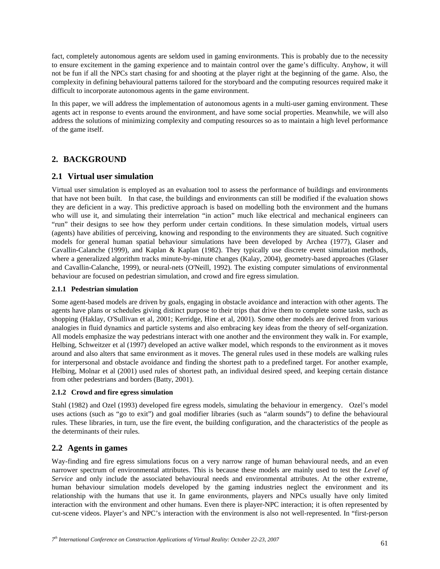fact, completely autonomous agents are seldom used in gaming environments. This is probably due to the necessity to ensure excitement in the gaming experience and to maintain control over the game's difficulty. Anyhow, it will not be fun if all the NPCs start chasing for and shooting at the player right at the beginning of the game. Also, the complexity in defining behavioural patterns tailored for the storyboard and the computing resources required make it difficult to incorporate autonomous agents in the game environment.

In this paper, we will address the implementation of autonomous agents in a multi-user gaming environment. These agents act in response to events around the environment, and have some social properties. Meanwhile, we will also address the solutions of minimizing complexity and computing resources so as to maintain a high level performance of the game itself.

## **2. BACKGROUND**

### **2.1 Virtual user simulation**

Virtual user simulation is employed as an evaluation tool to assess the performance of buildings and environments that have not been built. In that case, the buildings and environments can still be modified if the evaluation shows they are deficient in a way. This predictive approach is based on modelling both the environment and the humans who will use it, and simulating their interrelation "in action" much like electrical and mechanical engineers can "run" their designs to see how they perform under certain conditions. In these simulation models, virtual users (agents) have abilities of perceiving, knowing and responding to the environments they are situated. Such cognitive models for general human spatial behaviour simulations have been developed by Archea (1977), Glaser and Cavallin-Calanche (1999), and Kaplan & Kaplan (1982). They typically use discrete event simulation methods, where a generalized algorithm tracks minute-by-minute changes (Kalay, 2004), geometry-based approaches (Glaser and Cavallin-Calanche, 1999), or neural-nets (O'Neill, 1992). The existing computer simulations of environmental behaviour are focused on pedestrian simulation, and crowd and fire egress simulation.

#### **2.1.1 Pedestrian simulation**

Some agent-based models are driven by goals, engaging in obstacle avoidance and interaction with other agents. The agents have plans or schedules giving distinct purpose to their trips that drive them to complete some tasks, such as shopping (Haklay, O'Sullivan et al, 2001; Kerridge, Hine et al, 2001). Some other models are derived from various analogies in fluid dynamics and particle systems and also embracing key ideas from the theory of self-organization. All models emphasize the way pedestrians interact with one another and the environment they walk in. For example, Helbing, Schweitzer et al (1997) developed an active walker model, which responds to the environment as it moves around and also alters that same environment as it moves. The general rules used in these models are walking rules for interpersonal and obstacle avoidance and finding the shortest path to a predefined target. For another example, Helbing, Molnar et al (2001) used rules of shortest path, an individual desired speed, and keeping certain distance from other pedestrians and borders (Batty, 2001).

#### **2.1.2 Crowd and fire egress simulation**

Stahl (1982) and Ozel (1993) developed fire egress models, simulating the behaviour in emergency. Ozel's model uses actions (such as "go to exit") and goal modifier libraries (such as "alarm sounds") to define the behavioural rules. These libraries, in turn, use the fire event, the building configuration, and the characteristics of the people as the determinants of their rules.

## **2.2 Agents in games**

Way-finding and fire egress simulations focus on a very narrow range of human behavioural needs, and an even narrower spectrum of environmental attributes. This is because these models are mainly used to test the *Level of Service* and only include the associated behavioural needs and environmental attributes. At the other extreme, human behaviour simulation models developed by the gaming industries neglect the environment and its relationship with the humans that use it. In game environments, players and NPCs usually have only limited interaction with the environment and other humans. Even there is player-NPC interaction; it is often represented by cut-scene videos. Player's and NPC's interaction with the environment is also not well-represented. In "first-person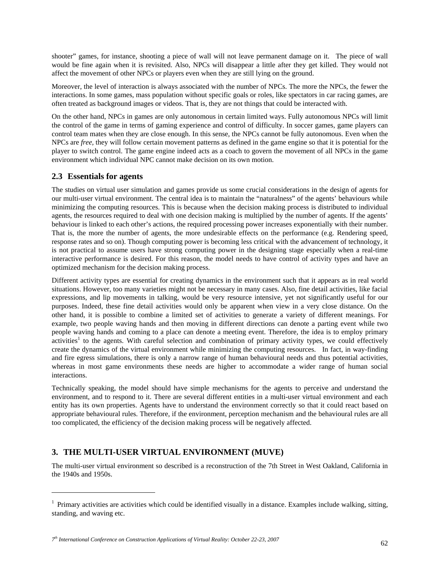shooter" games, for instance, shooting a piece of wall will not leave permanent damage on it. The piece of wall would be fine again when it is revisited. Also, NPCs will disappear a little after they get killed. They would not affect the movement of other NPCs or players even when they are still lying on the ground.

Moreover, the level of interaction is always associated with the number of NPCs. The more the NPCs, the fewer the interactions. In some games, mass population without specific goals or roles, like spectators in car racing games, are often treated as background images or videos. That is, they are not things that could be interacted with.

On the other hand, NPCs in games are only autonomous in certain limited ways. Fully autonomous NPCs will limit the control of the game in terms of gaming experience and control of difficulty. In soccer games, game players can control team mates when they are close enough. In this sense, the NPCs cannot be fully autonomous. Even when the NPCs are *free,* they will follow certain movement patterns as defined in the game engine so that it is potential for the player to switch control. The game engine indeed acts as a coach to govern the movement of all NPCs in the game environment which individual NPC cannot make decision on its own motion.

### **2.3 Essentials for agents**

 $\overline{a}$ 

The studies on virtual user simulation and games provide us some crucial considerations in the design of agents for our multi-user virtual environment. The central idea is to maintain the "naturalness" of the agents' behaviours while minimizing the computing resources. This is because when the decision making process is distributed to individual agents, the resources required to deal with one decision making is multiplied by the number of agents. If the agents' behaviour is linked to each other's actions, the required processing power increases exponentially with their number. That is, the more the number of agents, the more undesirable effects on the performance (e.g. Rendering speed, response rates and so on). Though computing power is becoming less critical with the advancement of technology, it is not practical to assume users have strong computing power in the designing stage especially when a real-time interactive performance is desired. For this reason, the model needs to have control of activity types and have an optimized mechanism for the decision making process.

Different activity types are essential for creating dynamics in the environment such that it appears as in real world situations. However, too many varieties might not be necessary in many cases. Also, fine detail activities, like facial expressions, and lip movements in talking, would be very resource intensive, yet not significantly useful for our purposes. Indeed, these fine detail activities would only be apparent when view in a very close distance. On the other hand, it is possible to combine a limited set of activities to generate a variety of different meanings. For example, two people waving hands and then moving in different directions can denote a parting event while two people waving hands and coming to a place can denote a meeting event. Therefore, the idea is to employ primary  $\alpha$ activities<sup>1</sup> to the agents. With careful selection and combination of primary activity types, we could effectively create the dynamics of the virtual environment while minimizing the computing resources. In fact, in way-finding and fire egress simulations, there is only a narrow range of human behavioural needs and thus potential activities, whereas in most game environments these needs are higher to accommodate a wider range of human social interactions.

Technically speaking, the model should have simple mechanisms for the agents to perceive and understand the environment, and to respond to it. There are several different entities in a multi-user virtual environment and each entity has its own properties. Agents have to understand the environment correctly so that it could react based on appropriate behavioural rules. Therefore, if the environment, perception mechanism and the behavioural rules are all too complicated, the efficiency of the decision making process will be negatively affected.

## **3. THE MULTI-USER VIRTUAL ENVIRONMENT (MUVE)**

The multi-user virtual environment so described is a reconstruction of the 7th Street in West Oakland, California in the 1940s and 1950s.

*<sup>7</sup>th International Conference on Construction Applications of Virtual Reality: October 22-23, 2007* <sup>62</sup>

 $<sup>1</sup>$  Primary activities are activities which could be identified visually in a distance. Examples include walking, sitting,</sup> standing, and waving etc.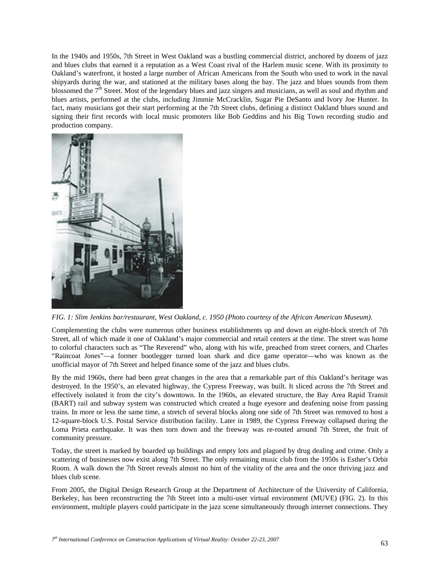In the 1940s and 1950s, 7th Street in West Oakland was a bustling commercial district, anchored by dozens of jazz and blues clubs that earned it a reputation as a West Coast rival of the Harlem music scene. With its proximity to Oakland's waterfront, it hosted a large number of African Americans from the South who used to work in the naval shipyards during the war, and stationed at the military bases along the bay. The jazz and blues sounds from them blossomed the  $7<sup>th</sup>$  Street. Most of the legendary blues and jazz singers and musicians, as well as soul and rhythm and blues artists, performed at the clubs, including Jimmie McCracklin, Sugar Pie DeSanto and Ivory Joe Hunter. In fact, many musicians got their start performing at the 7th Street clubs, defining a distinct Oakland blues sound and signing their first records with local music promoters like Bob Geddins and his Big Town recording studio and production company.



*FIG. 1: Slim Jenkins bar/restaurant, West Oakland, c. 1950 (Photo courtesy of the African American Museum).* 

Complementing the clubs were numerous other business establishments up and down an eight-block stretch of 7th Street, all of which made it one of Oakland's major commercial and retail centers at the time. The street was home to colorful characters such as "The Reverend" who, along with his wife, preached from street corners, and Charles "Raincoat Jones"—a former bootlegger turned loan shark and dice game operator—who was known as the unofficial mayor of 7th Street and helped finance some of the jazz and blues clubs.

By the mid 1960s, there had been great changes in the area that a remarkable part of this Oakland's heritage was destroyed. In the 1950's, an elevated highway, the Cypress Freeway, was built. It sliced across the 7th Street and effectively isolated it from the city's downtown. In the 1960s, an elevated structure, the Bay Area Rapid Transit (BART) rail and subway system was constructed which created a huge eyesore and deafening noise from passing trains. In more or less the same time, a stretch of several blocks along one side of 7th Street was removed to host a 12-square-block U.S. Postal Service distribution facility. Later in 1989, the Cypress Freeway collapsed during the Loma Prieta earthquake. It was then torn down and the freeway was re-routed around 7th Street, the fruit of community pressure.

Today, the street is marked by boarded up buildings and empty lots and plagued by drug dealing and crime. Only a scattering of businesses now exist along 7th Street. The only remaining music club from the 1950s is Esther's Orbit Room. A walk down the 7th Street reveals almost no hint of the vitality of the area and the once thriving jazz and blues club scene.

From 2005, the Digital Design Research Group at the Department of Architecture of the University of California, Berkeley, has been reconstructing the 7th Street into a multi-user virtual environment (MUVE) (FIG. 2). In this environment, multiple players could participate in the jazz scene simultaneously through internet connections. They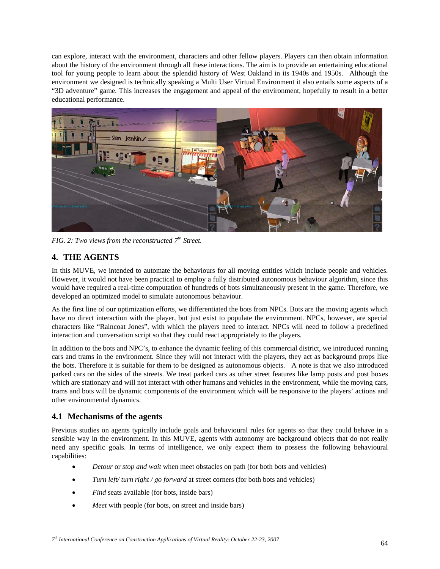can explore, interact with the environment, characters and other fellow players. Players can then obtain information about the history of the environment through all these interactions. The aim is to provide an entertaining educational tool for young people to learn about the splendid history of West Oakland in its 1940s and 1950s. Although the environment we designed is technically speaking a Multi User Virtual Environment it also entails some aspects of a "3D adventure" game. This increases the engagement and appeal of the environment, hopefully to result in a better educational performance.



*FIG. 2: Two views from the reconstructed 7th Street.* 

## **4. THE AGENTS**

In this MUVE, we intended to automate the behaviours for all moving entities which include people and vehicles. However, it would not have been practical to employ a fully distributed autonomous behaviour algorithm, since this would have required a real-time computation of hundreds of bots simultaneously present in the game. Therefore, we developed an optimized model to simulate autonomous behaviour.

As the first line of our optimization efforts, we differentiated the bots from NPCs. Bots are the moving agents which have no direct interaction with the player, but just exist to populate the environment. NPCs, however, are special characters like "Raincoat Jones", with which the players need to interact. NPCs will need to follow a predefined interaction and conversation script so that they could react appropriately to the players.

In addition to the bots and NPC's, to enhance the dynamic feeling of this commercial district, we introduced running cars and trams in the environment. Since they will not interact with the players, they act as background props like the bots. Therefore it is suitable for them to be designed as autonomous objects. A note is that we also introduced parked cars on the sides of the streets. We treat parked cars as other street features like lamp posts and post boxes which are stationary and will not interact with other humans and vehicles in the environment, while the moving cars, trams and bots will be dynamic components of the environment which will be responsive to the players' actions and other environmental dynamics.

## **4.1 Mechanisms of the agents**

Previous studies on agents typically include goals and behavioural rules for agents so that they could behave in a sensible way in the environment. In this MUVE, agents with autonomy are background objects that do not really need any specific goals. In terms of intelligence, we only expect them to possess the following behavioural capabilities:

- *Detour* or *stop and wait* when meet obstacles on path (for both bots and vehicles)
- *Turn left/ turn right / go forward* at street corners (for both bots and vehicles)
- *Find* seats available (for bots, inside bars)
- *Meet* with people (for bots, on street and inside bars)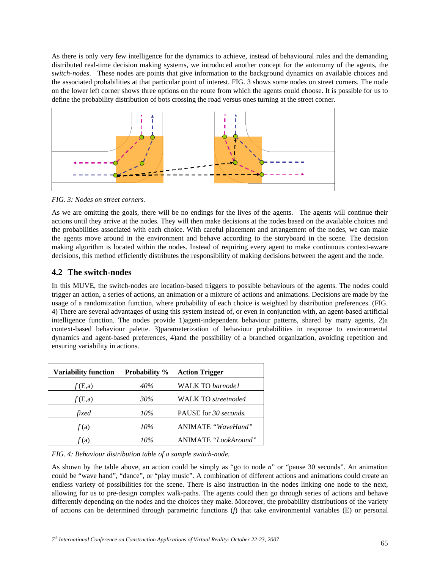As there is only very few intelligence for the dynamics to achieve, instead of behavioural rules and the demanding distributed real-time decision making systems, we introduced another concept for the autonomy of the agents, the *switch-nodes*. These nodes are points that give information to the background dynamics on available choices and the associated probabilities at that particular point of interest. FIG. 3 shows some nodes on street corners. The node on the lower left corner shows three options on the route from which the agents could choose. It is possible for us to define the probability distribution of bots crossing the road versus ones turning at the street corner.



*FIG. 3: Nodes on street corners.* 

As we are omitting the goals, there will be no endings for the lives of the agents. The agents will continue their actions until they arrive at the nodes. They will then make decisions at the nodes based on the available choices and the probabilities associated with each choice. With careful placement and arrangement of the nodes, we can make the agents move around in the environment and behave according to the storyboard in the scene. The decision making algorithm is located within the nodes. Instead of requiring every agent to make continuous context-aware decisions, this method efficiently distributes the responsibility of making decisions between the agent and the node.

## **4.2 The switch-nodes**

In this MUVE, the switch-nodes are location-based triggers to possible behaviours of the agents. The nodes could trigger an action, a series of actions, an animation or a mixture of actions and animations. Decisions are made by the usage of a randomization function, where probability of each choice is weighted by distribution preferences. (FIG. 4) There are several advantages of using this system instead of, or even in conjunction with, an agent-based artificial intelligence function. The nodes provide 1)agent-independent behaviour patterns, shared by many agents, 2)a context-based behaviour palette. 3)parameterization of behaviour probabilities in response to environmental dynamics and agent-based preferences, 4)and the possibility of a branched organization, avoiding repetition and ensuring variability in actions.

| <b>Variability function</b> | Probability % | <b>Action Trigger</b>      |
|-----------------------------|---------------|----------------------------|
| f(E,a)                      | 40%           | <b>WALK TO</b> barnode1    |
| f(E,a)                      | 30%           | <b>WALK TO streetnode4</b> |
| fixed                       | 10%           | PAUSE for 30 seconds.      |
| f(a)                        | 10%           | ANIMATE "WaveHand"         |
| (a)                         | 10%           | ANIMATE "LookAround"       |

*FIG. 4: Behaviour distribution table of a sample switch-node.* 

As shown by the table above, an action could be simply as "go to node *n*" or "pause 30 seconds". An animation could be "wave hand", "dance", or "play music". A combination of different actions and animations could create an endless variety of possibilities for the scene. There is also instruction in the nodes linking one node to the next, allowing for us to pre-design complex walk-paths. The agents could then go through series of actions and behave differently depending on the nodes and the choices they make. Moreover, the probability distributions of the variety of actions can be determined through parametric functions (*f*) that take environmental variables (E) or personal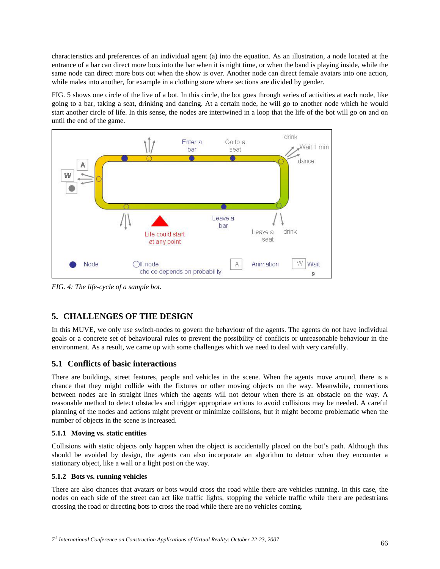characteristics and preferences of an individual agent (a) into the equation. As an illustration, a node located at the entrance of a bar can direct more bots into the bar when it is night time, or when the band is playing inside, while the same node can direct more bots out when the show is over. Another node can direct female avatars into one action, while males into another, for example in a clothing store where sections are divided by gender.

FIG. 5 shows one circle of the live of a bot. In this circle, the bot goes through series of activities at each node, like going to a bar, taking a seat, drinking and dancing. At a certain node, he will go to another node which he would start another circle of life. In this sense, the nodes are intertwined in a loop that the life of the bot will go on and on until the end of the game.



*FIG. 4: The life-cycle of a sample bot.* 

# **5. CHALLENGES OF THE DESIGN**

In this MUVE, we only use switch-nodes to govern the behaviour of the agents. The agents do not have individual goals or a concrete set of behavioural rules to prevent the possibility of conflicts or unreasonable behaviour in the environment. As a result, we came up with some challenges which we need to deal with very carefully.

## **5.1 Conflicts of basic interactions**

There are buildings, street features, people and vehicles in the scene. When the agents move around, there is a chance that they might collide with the fixtures or other moving objects on the way. Meanwhile, connections between nodes are in straight lines which the agents will not detour when there is an obstacle on the way. A reasonable method to detect obstacles and trigger appropriate actions to avoid collisions may be needed. A careful planning of the nodes and actions might prevent or minimize collisions, but it might become problematic when the number of objects in the scene is increased.

### **5.1.1 Moving vs. static entities**

Collisions with static objects only happen when the object is accidentally placed on the bot's path. Although this should be avoided by design, the agents can also incorporate an algorithm to detour when they encounter a stationary object, like a wall or a light post on the way.

### **5.1.2 Bots vs. running vehicles**

There are also chances that avatars or bots would cross the road while there are vehicles running. In this case, the nodes on each side of the street can act like traffic lights, stopping the vehicle traffic while there are pedestrians crossing the road or directing bots to cross the road while there are no vehicles coming.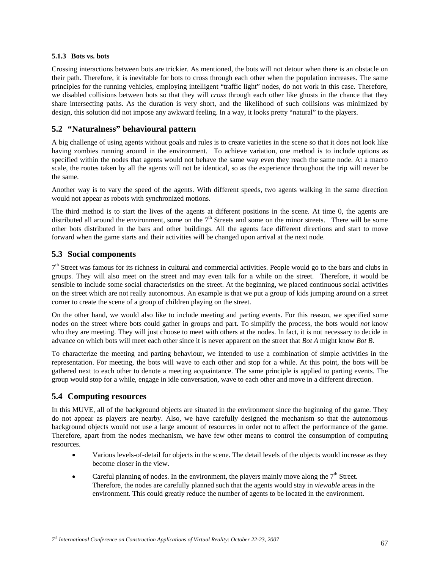#### **5.1.3 Bots vs. bots**

Crossing interactions between bots are trickier. As mentioned, the bots will not detour when there is an obstacle on their path. Therefore, it is inevitable for bots to cross through each other when the population increases. The same principles for the running vehicles, employing intelligent "traffic light" nodes, do not work in this case. Therefore, we disabled collisions between bots so that they will *cross* through each other like ghosts in the chance that they share intersecting paths. As the duration is very short, and the likelihood of such collisions was minimized by design, this solution did not impose any awkward feeling. In a way, it looks pretty "natural" to the players.

### **5.2 "Naturalness" behavioural pattern**

A big challenge of using agents without goals and rules is to create varieties in the scene so that it does not look like having zombies running around in the environment. To achieve variation, one method is to include options as specified within the nodes that agents would not behave the same way even they reach the same node. At a macro scale, the routes taken by all the agents will not be identical, so as the experience throughout the trip will never be the same.

Another way is to vary the speed of the agents. With different speeds, two agents walking in the same direction would not appear as robots with synchronized motions.

The third method is to start the lives of the agents at different positions in the scene. At time 0, the agents are distributed all around the environment, some on the 7<sup>th</sup> Streets and some on the minor streets. There will be some other bots distributed in the bars and other buildings. All the agents face different directions and start to move forward when the game starts and their activities will be changed upon arrival at the next node.

### **5.3 Social components**

 $7<sup>th</sup>$  Street was famous for its richness in cultural and commercial activities. People would go to the bars and clubs in groups. They will also meet on the street and may even talk for a while on the street. Therefore, it would be sensible to include some social characteristics on the street. At the beginning, we placed continuous social activities on the street which are not really autonomous. An example is that we put a group of kids jumping around on a street corner to create the scene of a group of children playing on the street.

On the other hand, we would also like to include meeting and parting events. For this reason, we specified some nodes on the street where bots could gather in groups and part. To simplify the process, the bots would *not* know who they are meeting. They will just choose to meet with others at the nodes. In fact, it is not necessary to decide in advance on which bots will meet each other since it is never apparent on the street that *Bot A* might know *Bot B*.

To characterize the meeting and parting behaviour, we intended to use a combination of simple activities in the representation. For meeting, the bots will wave to each other and stop for a while. At this point, the bots will be gathered next to each other to denote a meeting acquaintance. The same principle is applied to parting events. The group would stop for a while, engage in idle conversation, wave to each other and move in a different direction.

### **5.4 Computing resources**

In this MUVE, all of the background objects are situated in the environment since the beginning of the game. They do not appear as players are nearby. Also, we have carefully designed the mechanism so that the autonomous background objects would not use a large amount of resources in order not to affect the performance of the game. Therefore, apart from the nodes mechanism, we have few other means to control the consumption of computing resources.

- Various levels-of-detail for objects in the scene. The detail levels of the objects would increase as they become closer in the view.
- Careful planning of nodes. In the environment, the players mainly move along the  $7<sup>th</sup>$  Street. Therefore, the nodes are carefully planned such that the agents would stay in *viewable* areas in the environment. This could greatly reduce the number of agents to be located in the environment.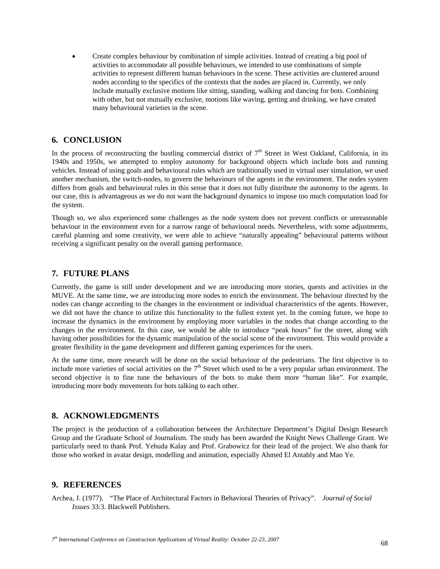• Create complex behaviour by combination of simple activities. Instead of creating a big pool of activities to accommodate all possible behaviours, we intended to use combinations of simple activities to represent different human behaviours in the scene. These activities are clustered around nodes according to the specifics of the contexts that the nodes are placed in. Currently, we only include mutually exclusive motions like sitting, standing, walking and dancing for bots. Combining with other, but not mutually exclusive, motions like waving, getting and drinking, we have created many behavioural varieties in the scene.

#### **6. CONCLUSION**

In the process of reconstructing the bustling commercial district of  $7<sup>th</sup>$  Street in West Oakland, California, in its 1940s and 1950s, we attempted to employ autonomy for background objects which include bots and running vehicles. Instead of using goals and behavioural rules which are traditionally used in virtual user simulation, we used another mechanism, the switch-nodes, to govern the behaviours of the agents in the environment. The nodes system differs from goals and behavioural rules in this sense that it does not fully distribute the autonomy to the agents. In our case, this is advantageous as we do not want the background dynamics to impose too much computation load for the system.

Though so, we also experienced some challenges as the node system does not prevent conflicts or unreasonable behaviour in the environment even for a narrow range of behavioural needs. Nevertheless, with some adjustments, careful planning and some creativity, we were able to achieve "naturally appealing" behavioural patterns without receiving a significant penalty on the overall gaming performance.

### **7. FUTURE PLANS**

Currently, the game is still under development and we are introducing more stories, quests and activities in the MUVE. At the same time, we are introducing more nodes to enrich the environment. The behaviour directed by the nodes can change according to the changes in the environment or individual characteristics of the agents. However, we did not have the chance to utilize this functionality to the fullest extent yet. In the coming future, we hope to increase the dynamics in the environment by employing more variables in the nodes that change according to the changes in the environment. In this case, we would be able to introduce "peak hours" for the street, along with having other possibilities for the dynamic manipulation of the social scene of the environment. This would provide a greater flexibility in the game development and different gaming experiences for the users.

At the same time, more research will be done on the social behaviour of the pedestrians. The first objective is to include more varieties of social activities on the  $7<sup>th</sup>$  Street which used to be a very popular urban environment. The second objective is to fine tune the behaviours of the bots to make them more "human like". For example, introducing more body movements for bots talking to each other.

### **8. ACKNOWLEDGMENTS**

The project is the production of a collaboration between the Architecture Department's Digital Design Research Group and the Graduate School of Journalism. The study has been awarded the Knight News Challenge Grant. We particularly need to thank Prof. Yehuda Kalay and Prof. Grabowicz for their lead of the project. We also thank for those who worked in avatar design, modelling and animation, especially Ahmed El Antably and Mao Ye.

#### **9. REFERENCES**

Archea, J. (1977). "The Place of Architectural Factors in Behavioral Theories of Privacy". *Journal of Social Issues* 33:3. Blackwell Publishers.